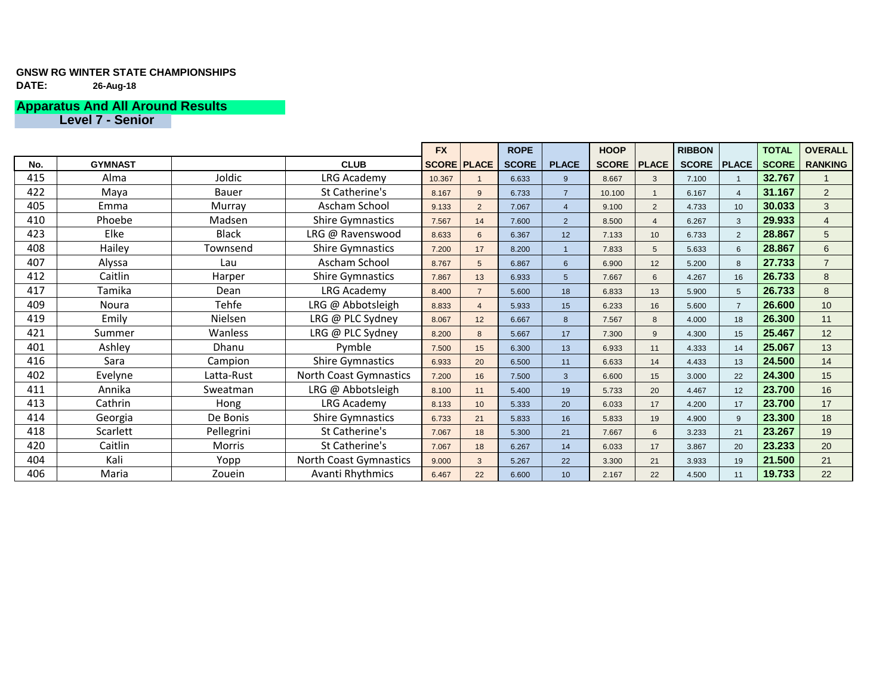### **GNSW RG WINTER STATE CHAMPIONSHIPS DATE: 26-Aug-18**

## **Apparatus And All Around Results**

**Level 7 - Senior**

|     |                |                | <b>FX</b>                     |        | <b>ROPE</b>        |              | <b>HOOP</b>                |              | <b>RIBBON</b>   |              | <b>TOTAL</b>    | <b>OVERALL</b> |                  |
|-----|----------------|----------------|-------------------------------|--------|--------------------|--------------|----------------------------|--------------|-----------------|--------------|-----------------|----------------|------------------|
| No. | <b>GYMNAST</b> |                | <b>CLUB</b>                   |        | <b>SCORE PLACE</b> | <b>SCORE</b> | <b>PLACE</b>               | <b>SCORE</b> | <b>PLACE</b>    | <b>SCORE</b> | <b>PLACE</b>    | <b>SCORE</b>   | <b>RANKING</b>   |
| 415 | Alma           | Joldic         | LRG Academy                   | 10.367 |                    | 6.633        | 9                          | 8.667        | 3 <sup>2</sup>  | 7.100        |                 | 32.767         |                  |
| 422 | Maya           | <b>Bauer</b>   | St Catherine's                | 8.167  | 9                  | 6.733        | $\overline{7}$             | 10.100       |                 | 6.167        | $\overline{4}$  | 31.167         | $\overline{2}$   |
| 405 | Emma           | Murray         | <b>Ascham School</b>          | 9.133  | $\overline{2}$     | 7.067        | $\boldsymbol{\mathcal{A}}$ | 9.100        | $\overline{2}$  | 4.733        | 10              | 30.033         | $\mathbf{3}$     |
| 410 | Phoebe         | Madsen         | <b>Shire Gymnastics</b>       | 7.567  | 14                 | 7.600        | $\overline{2}$             | 8.500        |                 | 6.267        | 3               | 29.933         | $\overline{4}$   |
| 423 | Elke           | <b>Black</b>   | LRG @ Ravenswood              | 8.633  | 6                  | 6.367        | 12 <sup>°</sup>            | 7.133        | 10              | 6.733        | $\overline{2}$  | 28.867         | $5\overline{)}$  |
| 408 | Hailey         | Townsend       | <b>Shire Gymnastics</b>       | 7.200  | 17                 | 8.200        |                            | 7.833        | 5 <sup>5</sup>  | 5.633        | 6               | 28.867         | $6 \overline{6}$ |
| 407 | Alyssa         | Lau            | <b>Ascham School</b>          | 8.767  | 5                  | 6.867        | $6 \overline{6}$           | 6.900        | 12              | 5.200        | 8               | 27.733         | $\overline{7}$   |
| 412 | Caitlin        | Harper         | <b>Shire Gymnastics</b>       | 7.867  | 13                 | 6.933        | 5                          | 7.667        | $6\overline{6}$ | 4.267        | 16              | 26.733         | 8                |
| 417 | Tamika         | Dean           | LRG Academy                   | 8.400  | $\overline{7}$     | 5.600        | 18                         | 6.833        | 13              | 5.900        | $5\overline{5}$ | 26.733         | 8                |
| 409 | <b>Noura</b>   | Tehfe          | LRG @ Abbotsleigh             | 8.833  | $\boldsymbol{4}$   | 5.933        | 15                         | 6.233        | 16              | 5.600        | $\overline{7}$  | 26.600         | 10               |
| 419 | Emily          | <b>Nielsen</b> | LRG @ PLC Sydney              | 8.067  | 12                 | 6.667        | 8                          | 7.567        | 8               | 4.000        | 18              | 26.300         | 11               |
| 421 | Summer         | <b>Wanless</b> | LRG @ PLC Sydney              | 8.200  | 8                  | 5.667        | 17                         | 7.300        | 9               | 4.300        | 15              | 25.467         | 12               |
| 401 | Ashley         | Dhanu          | Pymble                        | 7.500  | 15                 | 6.300        | 13                         | 6.933        | 11              | 4.333        | 14              | 25.067         | 13               |
| 416 | Sara           | Campion        | <b>Shire Gymnastics</b>       | 6.933  | 20                 | 6.500        | 11                         | 6.633        | 14              | 4.433        | 13              | 24.500         | 14               |
| 402 | Evelyne        | Latta-Rust     | <b>North Coast Gymnastics</b> | 7.200  | 16                 | 7.500        | $\mathbf{3}$               | 6.600        | 15              | 3.000        | 22              | 24.300         | 15               |
| 411 | Annika         | Sweatman       | LRG @ Abbotsleigh             | 8.100  | 11                 | 5.400        | 19                         | 5.733        | 20              | 4.467        | 12              | 23.700         | 16               |
| 413 | Cathrin        | Hong           | <b>LRG Academy</b>            | 8.133  | 10                 | 5.333        | 20                         | 6.033        | 17              | 4.200        | 17              | 23.700         | 17               |
| 414 | Georgia        | De Bonis       | <b>Shire Gymnastics</b>       | 6.733  | 21                 | 5.833        | 16                         | 5.833        | 19              | 4.900        | 9               | 23.300         | 18               |
| 418 | Scarlett       | Pellegrini     | St Catherine's                | 7.067  | 18                 | 5.300        | 21                         | 7.667        | $6\phantom{1}6$ | 3.233        | 21              | 23.267         | 19               |
| 420 | Caitlin        | <b>Morris</b>  | St Catherine's                | 7.067  | 18                 | 6.267        | 14                         | 6.033        | 17              | 3.867        | 20              | 23.233         | 20               |
| 404 | Kali           | Yopp           | <b>North Coast Gymnastics</b> | 9.000  | 3 <sup>2</sup>     | 5.267        | 22                         | 3.300        | 21              | 3.933        | 19              | 21.500         | 21               |
| 406 | Maria          | Zouein         | <b>Avanti Rhythmics</b>       | 6.467  | 22                 | 6.600        | 10 <sup>°</sup>            | 2.167        | 22              | 4.500        | 11              | 19.733         | 22               |